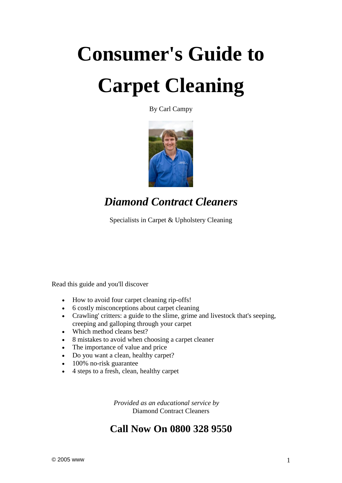# **Consumer's Guide to Carpet Cleaning**

By Carl Campy



# *Diamond Contract Cleaners*

Specialists in Carpet & Upholstery Cleaning

Read this guide and you'll discover

- How to avoid four carpet cleaning rip-offs!
- 6 costly misconceptions about carpet cleaning
- Crawling' critters: a guide to the slime, grime and livestock that's seeping, creeping and galloping through your carpet
- Which method cleans best?
- 8 mistakes to avoid when choosing a carpet cleaner
- The importance of value and price
- Do you want a clean, healthy carpet?
- 100% no-risk guarantee
- 4 steps to a fresh, clean, healthy carpet

 *Provided as an educational service by*  Diamond Contract Cleaners

### **Call Now On 0800 328 9550**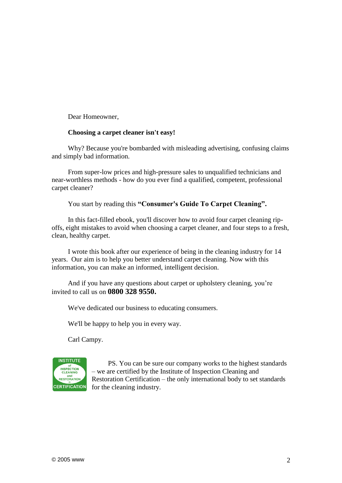Dear Homeowner,

#### **Choosing a carpet cleaner isn't easy!**

Why? Because you're bombarded with misleading advertising, confusing claims and simply bad information.

From super-low prices and high-pressure sales to unqualified technicians and near-worthless methods - how do you ever find a qualified, competent, professional carpet cleaner?

You start by reading this **"Consumer's Guide To Carpet Cleaning".**

In this fact-filled ebook, you'll discover how to avoid four carpet cleaning ripoffs, eight mistakes to avoid when choosing a carpet cleaner, and four steps to a fresh, clean, healthy carpet.

I wrote this book after our experience of being in the cleaning industry for 14 years. Our aim is to help you better understand carpet cleaning. Now with this information, you can make an informed, intelligent decision.

And if you have any questions about carpet or upholstery cleaning, you're invited to call us on **0800 328 9550.**

We've dedicated our business to educating consumers.

We'll be happy to help you in every way.

Carl Campy.



PS. You can be sure our company works to the highest standards – we are certified by the Institute of Inspection Cleaning and Restoration Certification – the only international body to set standards for the cleaning industry.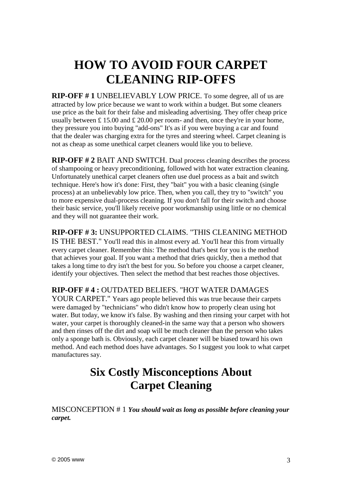# **HOW TO AVOID FOUR CARPET CLEANING RIP-OFFS**

**RIP-OFF # 1** UNBELIEVABLY LOW PRICE. To some degree, all of us are attracted by low price because we want to work within a budget. But some cleaners use price as the bait for their false and misleading advertising. They offer cheap price usually between £ 15.00 and £ 20.00 per room- and then, once they're in your home, they pressure you into buying "add-ons" It's as if you were buying a car and found that the dealer was charging extra for the tyres and steering wheel. Carpet cleaning is not as cheap as some unethical carpet cleaners would like you to believe.

**RIP-OFF # 2** BAIT AND SWITCH. Dual process cleaning describes the process of shampooing or heavy preconditioning, followed with hot water extraction cleaning. Unfortunately unethical carpet cleaners often use duel process as a bait and switch technique. Here's how it's done: First, they "bait" you with a basic cleaning (single process) at an unbelievably low price. Then, when you call, they try to "switch" you to more expensive dual-process cleaning. If you don't fall for their switch and choose their basic service, you'll likely receive poor workmanship using little or no chemical and they will not guarantee their work.

**RIP-OFF # 3:** UNSUPPORTED CLAIMS. "THIS CLEANING METHOD IS THE BEST." You'll read this in almost every ad. You'll hear this from virtually every carpet cleaner. Remember this: The method that's best for you is the method that achieves your goal. If you want a method that dries quickly, then a method that takes a long time to dry isn't the best for you. So before you choose a carpet cleaner, identify your objectives. Then select the method that best reaches those objectives.

#### **RIP-OFF # 4 :** OUTDATED BELIEFS. "HOT WATER DAMAGES

YOUR CARPET." Years ago people believed this was true because their carpets were damaged by "technicians" who didn't know how to properly clean using hot water. But today, we know it's false. By washing and then rinsing your carpet with hot water, your carpet is thoroughly cleaned-in the same way that a person who showers and then rinses off the dirt and soap will be much cleaner than the person who takes only a sponge bath is. Obviously, each carpet cleaner will be biased toward his own method. And each method does have advantages. So I suggest you look to what carpet manufactures say.

## **Six Costly Misconceptions About Carpet Cleaning**

MISCONCEPTION # 1 *You should wait as long as possible before cleaning your carpet.*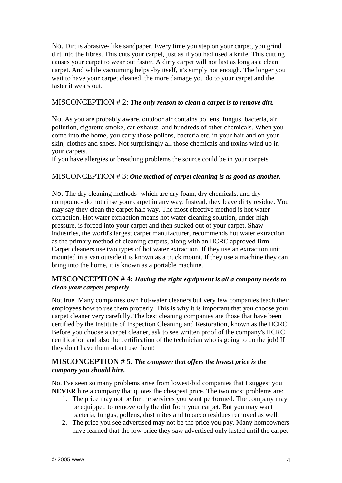No. Dirt is abrasive- like sandpaper. Every time you step on your carpet, you grind dirt into the fibres. This cuts your carpet, just as if you had used a knife. This cutting causes your carpet to wear out faster. A dirty carpet will not last as long as a clean carpet. And while vacuuming helps -by itself, it's simply not enough. The longer you wait to have your carpet cleaned, the more damage you do to your carpet and the faster it wears out.

#### MISCONCEPTION # 2: *The only reason to clean a carpet is to remove dirt.*

No. As you are probably aware, outdoor air contains pollens, fungus, bacteria, air pollution, cigarette smoke, car exhaust- and hundreds of other chemicals. When you come into the home, you carry those pollens, bacteria etc. in your hair and on your skin, clothes and shoes. Not surprisingly all those chemicals and toxins wind up in your carpets.

If you have allergies or breathing problems the source could be in your carpets.

#### MISCONCEPTION # 3: *One method of carpet cleaning is as good as another.*

No. The dry cleaning methods- which are dry foam, dry chemicals, and dry compound- do not rinse your carpet in any way. Instead, they leave dirty residue. You may say they clean the carpet half way. The most effective method is hot water extraction. Hot water extraction means hot water cleaning solution, under high pressure, is forced into your carpet and then sucked out of your carpet. Shaw industries, the world's largest carpet manufacturer, recommends hot water extraction as the primary method of cleaning carpets, along with an IICRC approved firm. Carpet cleaners use two types of hot water extraction. If they use an extraction unit mounted in a van outside it is known as a truck mount. If they use a machine they can bring into the home, it is known as a portable machine.

#### **MISCONCEPTION # 4:** *Having the right equipment is all a company needs to clean your carpets properly.*

Not true. Many companies own hot-water cleaners but very few companies teach their employees how to use them properly. This is why it is important that you choose your carpet cleaner very carefully. The best cleaning companies are those that have been certified by the Institute of Inspection Cleaning and Restoration, known as the IICRC. Before you choose a carpet cleaner, ask to see written proof of the company's IICRC certification and also the certification of the technician who is going to do the job! If they don't have them -don't use them!

#### **MISCONCEPTION # 5***. The company that offers the lowest price is the company you should hire.*

No. I've seen so many problems arise from lowest-bid companies that I suggest you **NEVER** hire a company that quotes the cheapest price. The two most problems are:

- 1. The price may not be for the services you want performed. The company may be equipped to remove only the dirt from your carpet. But you may want bacteria, fungus, pollens, dust mites and tobacco residues removed as well.
- 2. The price you see advertised may not be the price you pay. Many homeowners have learned that the low price they saw advertised only lasted until the carpet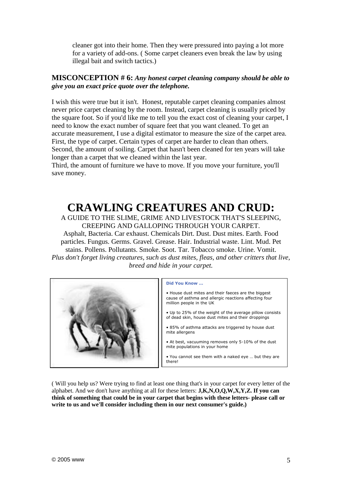cleaner got into their home. Then they were pressured into paying a lot more for a variety of add-ons. ( Some carpet cleaners even break the law by using illegal bait and switch tactics.)

#### **MISCONCEPTION # 6:** *Any honest carpet cleaning company should be able to give you an exact price quote over the telephone.*

I wish this were true but it isn't. Honest, reputable carpet cleaning companies almost never price carpet cleaning by the room. Instead, carpet cleaning is usually priced by the square foot. So if you'd like me to tell you the exact cost of cleaning your carpet, I need to know the exact number of square feet that you want cleaned. To get an accurate measurement, I use a digital estimator to measure the size of the carpet area. First, the type of carpet. Certain types of carpet are harder to clean than others. Second, the amount of soiling. Carpet that hasn't been cleaned for ten years will take longer than a carpet that we cleaned within the last year.

Third, the amount of furniture we have to move. If you move your furniture, you'll save money.

### **CRAWLING CREATURES AND CRUD:**

A GUIDE TO THE SLIME, GRIME AND LIVESTOCK THAT'S SLEEPING, CREEPING AND GALLOPING THROUGH YOUR CARPET. Asphalt, Bacteria. Car exhaust. Chemicals Dirt. Dust. Dust mites. Earth. Food particles. Fungus. Germs. Gravel. Grease. Hair. Industrial waste. Lint. Mud. Pet

stains. Pollens. Pollutants. Smoke. Soot. Tar. Tobacco smoke. Urine. Vomit. *Plus don't forget living creatures, such as dust mites, fleas, and other critters that live, breed and hide in your carpet.*



#### **Did You Know …**

• House dust mites and their faeces are the biggest cause of asthma and allergic reactions affecting four million people in the UK

• Up to 25% of the weight of the average pillow consists of dead skin, house dust mites and their droppings

- 85% of asthma attacks are triggered by house dust mite allergens
- At best, vacuuming removes only 5-10% of the dust mite populations in your home
- You cannot see them with a naked eye … but they are there!

( Will you help us? Were trying to find at least one thing that's in your carpet for every letter of the alphabet. And we don't have anything at all for these letters: **J,K,N,O,Q,W,X,Y,Z. If you can think of something that could be in your carpet that begins with these letters- please call or write to us and we'll consider including them in our next consumer's guide.)**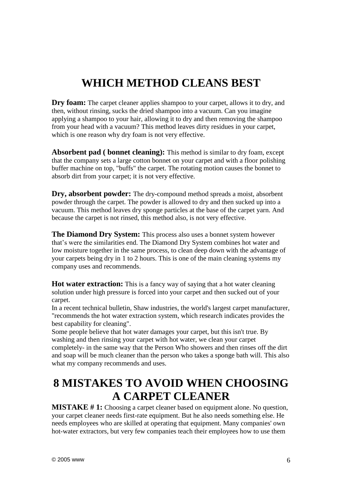# **WHICH METHOD CLEANS BEST**

**Dry foam:** The carpet cleaner applies shampoo to your carpet, allows it to dry, and then, without rinsing, sucks the dried shampoo into a vacuum. Can you imagine applying a shampoo to your hair, allowing it to dry and then removing the shampoo from your head with a vacuum? This method leaves dirty residues in your carpet, which is one reason why dry foam is not very effective.

**Absorbent pad ( bonnet cleaning):** This method is similar to dry foam, except that the company sets a large cotton bonnet on your carpet and with a floor polishing buffer machine on top, "buffs" the carpet. The rotating motion causes the bonnet to absorb dirt from your carpet; it is not very effective.

**Dry, absorbent powder:** The dry-compound method spreads a moist, absorbent powder through the carpet. The powder is allowed to dry and then sucked up into a vacuum. This method leaves dry sponge particles at the base of the carpet yarn. And because the carpet is not rinsed, this method also, is not very effective.

**The Diamond Dry System:** This process also uses a bonnet system however that's were the similarities end. The Diamond Dry System combines hot water and low moisture together in the same process, to clean deep down with the advantage of your carpets being dry in 1 to 2 hours. This is one of the main cleaning systems my company uses and recommends.

**Hot water extraction:** This is a fancy way of saying that a hot water cleaning solution under high pressure is forced into your carpet and then sucked out of your carpet.

In a recent technical bulletin, Shaw industries, the world's largest carpet manufacturer, "recommends the hot water extraction system, which research indicates provides the best capability for cleaning".

Some people believe that hot water damages your carpet, but this isn't true. By washing and then rinsing your carpet with hot water, we clean your carpet completely- in the same way that the Person Who showers and then rinses off the dirt and soap will be much cleaner than the person who takes a sponge bath will. This also what my company recommends and uses.

### **8 MISTAKES TO AVOID WHEN CHOOSING A CARPET CLEANER**

**MISTAKE # 1:** Choosing a carpet cleaner based on equipment alone. No question, your carpet cleaner needs first-rate equipment. But he also needs something else. He needs employees who are skilled at operating that equipment. Many companies' own hot-water extractors, but very few companies teach their employees how to use them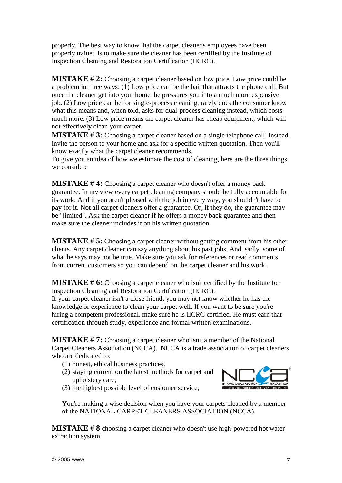properly. The best way to know that the carpet cleaner's employees have been properly trained is to make sure the cleaner has been certified by the Institute of Inspection Cleaning and Restoration Certification (IICRC).

**MISTAKE # 2:** Choosing a carpet cleaner based on low price. Low price could be a problem in three ways: (1) Low price can be the bait that attracts the phone call. But once the cleaner get into your home, he pressures you into a much more expensive job. (2) Low price can be for single-process cleaning, rarely does the consumer know what this means and, when told, asks for dual-process cleaning instead, which costs much more. (3) Low price means the carpet cleaner has cheap equipment, which will not effectively clean your carpet.

**MISTAKE # 3:** Choosing a carpet cleaner based on a single telephone call. Instead, invite the person to your home and ask for a specific written quotation. Then you'll know exactly what the carpet cleaner recommends.

To give you an idea of how we estimate the cost of cleaning, here are the three things we consider:

**MISTAKE # 4:** Choosing a carpet cleaner who doesn't offer a money back guarantee. In my view every carpet cleaning company should be fully accountable for its work. And if you aren't pleased with the job in every way, you shouldn't have to pay for it. Not all carpet cleaners offer a guarantee. Or, if they do, the guarantee may be "limited". Ask the carpet cleaner if he offers a money back guarantee and then make sure the cleaner includes it on his written quotation.

**MISTAKE # 5:** Choosing a carpet cleaner without getting comment from his other clients. Any carpet cleaner can say anything about his past jobs. And, sadly, some of what he says may not be true. Make sure you ask for references or read comments from current customers so you can depend on the carpet cleaner and his work.

**MISTAKE # 6:** Choosing a carpet cleaner who isn't certified by the Institute for Inspection Cleaning and Restoration Certification (IICRC).

If your carpet cleaner isn't a close friend, you may not know whether he has the knowledge or experience to clean your carpet well. If you want to be sure you're hiring a competent professional, make sure he is IICRC certified. He must earn that certification through study, experience and formal written examinations.

**MISTAKE #7:** Choosing a carpet cleaner who isn't a member of the National Carpet Cleaners Association (NCCA). NCCA is a trade association of carpet cleaners who are dedicated to:

- (1) honest, ethical business practices,
- (2) staying current on the latest methods for carpet and upholstery care,

(3) the highest possible level of customer service,



You're making a wise decision when you have your carpets cleaned by a member of the NATIONAL CARPET CLEANERS ASSOCIATION (NCCA).

**MISTAKE # 8** choosing a carpet cleaner who doesn't use high-powered hot water extraction system.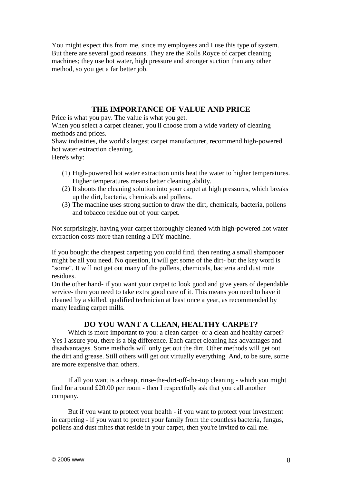You might expect this from me, since my employees and I use this type of system. But there are several good reasons. They are the Rolls Royce of carpet cleaning machines; they use hot water, high pressure and stronger suction than any other method, so you get a far better job.

#### **THE IMPORTANCE OF VALUE AND PRICE**

Price is what you pay. The value is what you get.

When you select a carpet cleaner, you'll choose from a wide variety of cleaning methods and prices.

Shaw industries, the world's largest carpet manufacturer, recommend high-powered hot water extraction cleaning.

Here's why:

- (1) High-powered hot water extraction units heat the water to higher temperatures. Higher temperatures means better cleaning ability.
- (2) It shoots the cleaning solution into your carpet at high pressures, which breaks up the dirt, bacteria, chemicals and pollens.
- (3) The machine uses strong suction to draw the dirt, chemicals, bacteria, pollens and tobacco residue out of your carpet.

Not surprisingly, having your carpet thoroughly cleaned with high-powered hot water extraction costs more than renting a DIY machine.

If you bought the cheapest carpeting you could find, then renting a small shampooer might be all you need. No question, it will get some of the dirt- but the key word is "some". It will not get out many of the pollens, chemicals, bacteria and dust mite residues.

On the other hand- if you want your carpet to look good and give years of dependable service- then you need to take extra good care of it. This means you need to have it cleaned by a skilled, qualified technician at least once a year, as recommended by many leading carpet mills.

#### **DO YOU WANT A CLEAN, HEALTHY CARPET?**

Which is more important to you: a clean carpet- or a clean and healthy carpet? Yes I assure you, there is a big difference. Each carpet cleaning has advantages and disadvantages. Some methods will only get out the dirt. Other methods will get out the dirt and grease. Still others will get out virtually everything. And, to be sure, some are more expensive than others.

If all you want is a cheap, rinse-the-dirt-off-the-top cleaning - which you might find for around £20.00 per room - then I respectfully ask that you call another company.

But if you want to protect your health - if you want to protect your investment in carpeting - if you want to protect your family from the countless bacteria, fungus, pollens and dust mites that reside in your carpet, then you're invited to call me.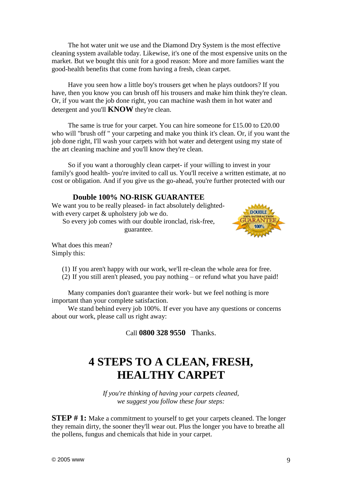The hot water unit we use and the Diamond Dry System is the most effective cleaning system available today. Likewise, it's one of the most expensive units on the market. But we bought this unit for a good reason: More and more families want the good-health benefits that come from having a fresh, clean carpet.

Have you seen how a little boy's trousers get when he plays outdoors? If you have, then you know you can brush off his trousers and make him think they're clean. Or, if you want the job done right, you can machine wash them in hot water and detergent and you'll **KNOW** they're clean.

The same is true for your carpet. You can hire someone for  $£15.00$  to  $£20.00$ who will "brush off " your carpeting and make you think it's clean. Or, if you want the job done right, I'll wash your carpets with hot water and detergent using my state of the art cleaning machine and you'll know they're clean.

So if you want a thoroughly clean carpet- if your willing to invest in your family's good health- you're invited to call us. You'll receive a written estimate, at no cost or obligation. And if you give us the go-ahead, you're further protected with our

#### **Double 100% NO-RISK GUARANTEE**

We want you to be really pleased- in fact absolutely delightedwith every carpet & upholstery job we do.

So every job comes with our double ironclad, risk-free, guarantee.



What does this mean? Simply this:

(1) If you aren't happy with our work, we'll re-clean the whole area for free.

(2) If you still aren't pleased, you pay nothing – or refund what you have paid!

Many companies don't guarantee their work- but we feel nothing is more important than your complete satisfaction.

We stand behind every job 100%. If ever you have any questions or concerns about our work, please call us right away:

Call **0800 328 9550** Thanks.

### **4 STEPS TO A CLEAN, FRESH, HEALTHY CARPET**

*If you're thinking of having your carpets cleaned, we suggest you follow these four steps:*

**STEP # 1:** Make a commitment to yourself to get your carpets cleaned. The longer they remain dirty, the sooner they'll wear out. Plus the longer you have to breathe all the pollens, fungus and chemicals that hide in your carpet.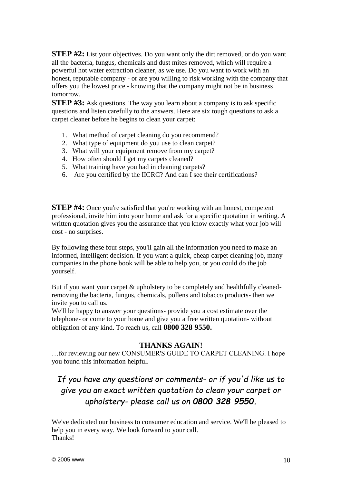**STEP #2:** List your objectives. Do you want only the dirt removed, or do you want all the bacteria, fungus, chemicals and dust mites removed, which will require a powerful hot water extraction cleaner, as we use. Do you want to work with an honest, reputable company - or are you willing to risk working with the company that offers you the lowest price - knowing that the company might not be in business tomorrow.

**STEP #3:** Ask questions. The way you learn about a company is to ask specific questions and listen carefully to the answers. Here are six tough questions to ask a carpet cleaner before he begins to clean your carpet:

- 1. What method of carpet cleaning do you recommend?
- 2. What type of equipment do you use to clean carpet?
- 3. What will your equipment remove from my carpet?
- 4. How often should I get my carpets cleaned?
- 5. What training have you had in cleaning carpets?
- 6. Are you certified by the IICRC? And can I see their certifications?

**STEP #4:** Once you're satisfied that you're working with an honest, competent professional, invite him into your home and ask for a specific quotation in writing. A written quotation gives you the assurance that you know exactly what your job will cost - no surprises.

By following these four steps, you'll gain all the information you need to make an informed, intelligent decision. If you want a quick, cheap carpet cleaning job, many companies in the phone book will be able to help you, or you could do the job yourself.

But if you want your carpet & upholstery to be completely and healthfully cleanedremoving the bacteria, fungus, chemicals, pollens and tobacco products- then we invite you to call us.

We'll be happy to answer your questions- provide you a cost estimate over the telephone- or come to your home and give you a free written quotation- without obligation of any kind. To reach us, call **0800 328 9550.**

#### **THANKS AGAIN!**

…for reviewing our new CONSUMER'S GUIDE TO CARPET CLEANING. I hope you found this information helpful.

### *If you have any questions or comments- or if you'd like us to give you an exact written quotation to clean your carpet or upholstery- please call us on 0800 328 9550.*

We've dedicated our business to consumer education and service. We'll be pleased to help you in every way. We look forward to your call. Thanks!